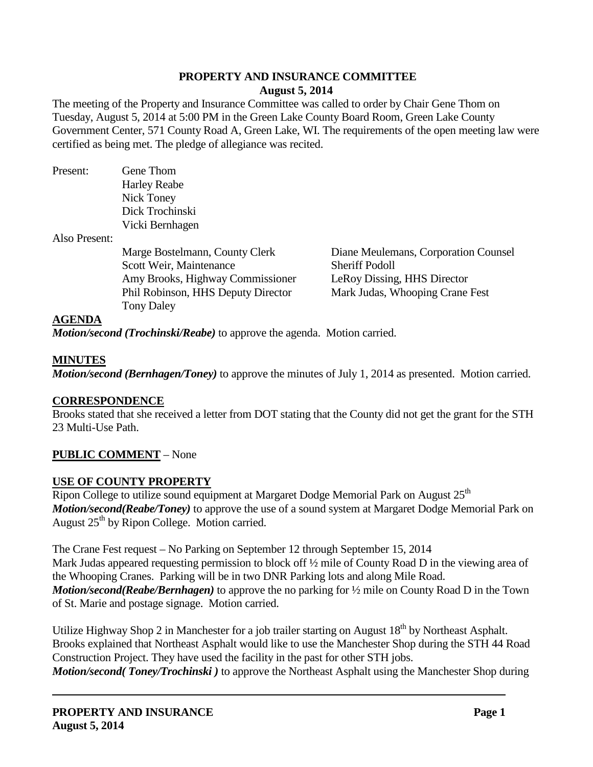# **PROPERTY AND INSURANCE COMMITTEE August 5, 2014**

The meeting of the Property and Insurance Committee was called to order by Chair Gene Thom on Tuesday, August 5, 2014 at 5:00 PM in the Green Lake County Board Room, Green Lake County Government Center, 571 County Road A, Green Lake, WI. The requirements of the open meeting law were certified as being met. The pledge of allegiance was recited.

| Present:      | Gene Thom                          |                                      |
|---------------|------------------------------------|--------------------------------------|
|               | <b>Harley Reabe</b>                |                                      |
|               | Nick Toney                         |                                      |
|               | Dick Trochinski                    |                                      |
|               | Vicki Bernhagen                    |                                      |
| Also Present: |                                    |                                      |
|               | Marge Bostelmann, County Clerk     | Diane Meulemans, Corporation Counsel |
|               | Scott Weir, Maintenance            | <b>Sheriff Podoll</b>                |
|               | Amy Brooks, Highway Commissioner   | LeRoy Dissing, HHS Director          |
|               | Phil Robinson, HHS Deputy Director | Mark Judas, Whooping Crane Fest      |

## **AGENDA**

*Motion/second (Trochinski/Reabe)* to approve the agenda. Motion carried.

## **MINUTES**

*Motion/second (Bernhagen/Toney)* to approve the minutes of July 1, 2014 as presented. Motion carried.

### **CORRESPONDENCE**

Brooks stated that she received a letter from DOT stating that the County did not get the grant for the STH 23 Multi-Use Path.

# **PUBLIC COMMENT** – None

### **USE OF COUNTY PROPERTY**

Tony Daley

Ripon College to utilize sound equipment at Margaret Dodge Memorial Park on August 25<sup>th</sup> *Motion/second(Reabe/Toney)* to approve the use of a sound system at Margaret Dodge Memorial Park on August  $25<sup>th</sup>$  by Ripon College. Motion carried.

The Crane Fest request – No Parking on September 12 through September 15, 2014 Mark Judas appeared requesting permission to block off  $\frac{1}{2}$  mile of County Road D in the viewing area of the Whooping Cranes. Parking will be in two DNR Parking lots and along Mile Road. *Motion/second(Reabe/Bernhagen)* to approve the no parking for ½ mile on County Road D in the Town of St. Marie and postage signage. Motion carried.

Utilize Highway Shop 2 in Manchester for a job trailer starting on August  $18<sup>th</sup>$  by Northeast Asphalt. Brooks explained that Northeast Asphalt would like to use the Manchester Shop during the STH 44 Road Construction Project. They have used the facility in the past for other STH jobs. *Motion/second( Toney/Trochinski)* to approve the Northeast Asphalt using the Manchester Shop during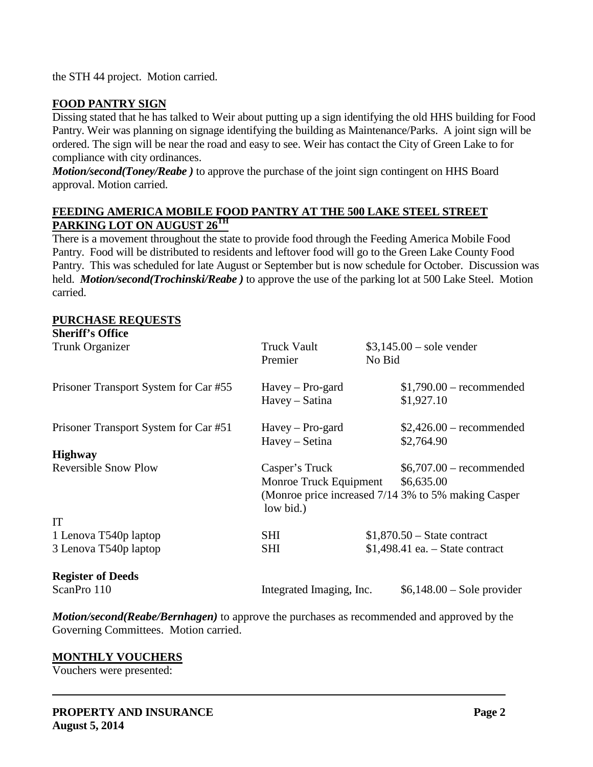the STH 44 project. Motion carried.

# **FOOD PANTRY SIGN**

Dissing stated that he has talked to Weir about putting up a sign identifying the old HHS building for Food Pantry. Weir was planning on signage identifying the building as Maintenance/Parks. A joint sign will be ordered. The sign will be near the road and easy to see. Weir has contact the City of Green Lake to for compliance with city ordinances.

*Motion/second(Toney/Reabe)* to approve the purchase of the joint sign contingent on HHS Board approval. Motion carried.

## **FEEDING AMERICA MOBILE FOOD PANTRY AT THE 500 LAKE STEEL STREET PARKING LOT ON AUGUST 26TH**

There is a movement throughout the state to provide food through the Feeding America Mobile Food Pantry. Food will be distributed to residents and leftover food will go to the Green Lake County Food Pantry. This was scheduled for late August or September but is now schedule for October. Discussion was held. *Motion/second(Trochinski/Reabe )* to approve the use of the parking lot at 500 Lake Steel. Motion carried.

#### **PURCHASE REQUESTS Sheriff's Office**

| Sneriii's Office                      |                                          |                                                     |
|---------------------------------------|------------------------------------------|-----------------------------------------------------|
| Trunk Organizer                       | Truck Vault<br>Premier                   | $$3,145.00 - sole$ vender<br>No Bid                 |
| Prisoner Transport System for Car #55 | $Havey - Pro-gard$<br>Havey – Satina     | $$1,790.00$ – recommended<br>\$1,927.10             |
| Prisoner Transport System for Car #51 | $Havey - Pro-gard$<br>Havey – Setina     | $$2,426.00$ – recommended<br>\$2,764.90             |
| <b>Highway</b>                        |                                          |                                                     |
| <b>Reversible Snow Plow</b>           | Casper's Truck<br>Monroe Truck Equipment | $$6,707.00$ – recommended<br>\$6,635.00             |
| low bid.)                             |                                          | (Monroe price increased 7/14 3% to 5% making Casper |
| <b>IT</b>                             |                                          |                                                     |
| 1 Lenova T540p laptop                 | <b>SHI</b>                               | $$1,870.50 - State contract$                        |
| 3 Lenova T540p laptop                 | <b>SHI</b>                               | $$1,498.41$ ea. $-$ State contract                  |
| <b>Register of Deeds</b>              |                                          |                                                     |
| ScanPro 110                           | Integrated Imaging, Inc.                 | $$6,148.00 - Sole$ provider                         |

*Motion/second(Reabe/Bernhagen)* to approve the purchases as recommended and approved by the Governing Committees. Motion carried.

### **MONTHLY VOUCHERS**

Vouchers were presented: